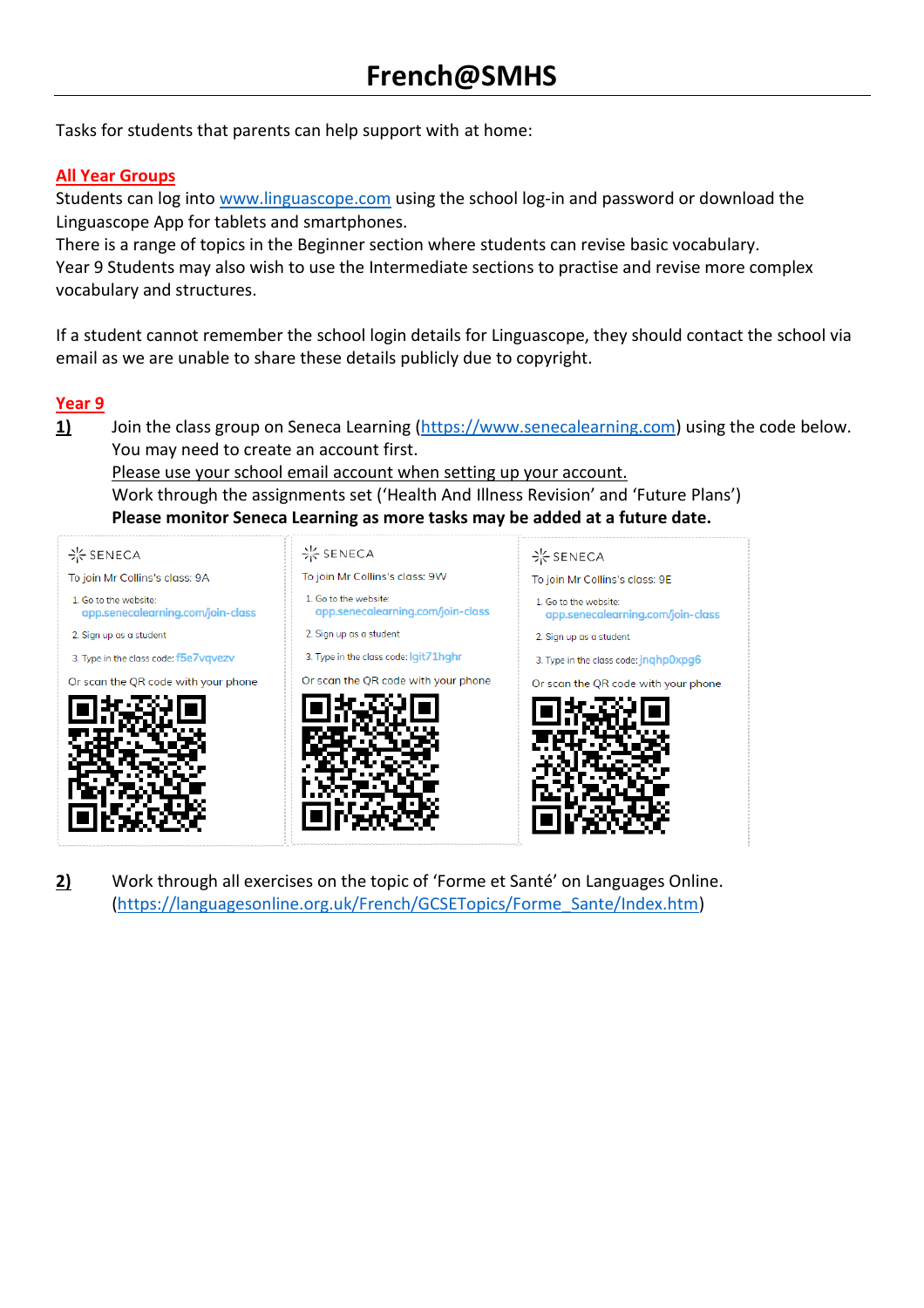Tasks for students that parents can help support with at home:

# **All Year Groups**

Students can log into [www.linguascope.com](http://www.linguascope.com/) using the school log-in and password or download the Linguascope App for tablets and smartphones.

There is a range of topics in the Beginner section where students can revise basic vocabulary. Year 9 Students may also wish to use the Intermediate sections to practise and revise more complex vocabulary and structures.

If a student cannot remember the school login details for Linguascope, they should contact the school via email as we are unable to share these details publicly due to copyright.

#### **Year 9**

1) Join the class group on Seneca Learning [\(https://www.senecalearning.com\)](https://www.senecalearning.com/) using the code below. You may need to create an account first.

Please use your school email account when setting up your account.

Work through the assignments set ('Health And Illness Revision' and 'Future Plans') **Please monitor Seneca Learning as more tasks may be added at a future date.**

| <b>※SENECA</b>                                             | - SENECA                                                   |
|------------------------------------------------------------|------------------------------------------------------------|
| To join Mr Collins's class: 9W                             | To join Mr Collins's class: 9E                             |
| 1. Go to the website:<br>app.senecalearning.com/join-class | 1. Go to the website:<br>app.senecalearning.com/join-class |
| 2. Sign up as a student                                    | 2. Sign up as a student                                    |
| 3. Type in the class code: lgit71hghr                      | 3. Type in the class code: jnghp0xpg6                      |
| Or scan the QR code with your phone                        | Or scan the QR code with your phone                        |
|                                                            |                                                            |
|                                                            |                                                            |

**2)** Work through all exercises on the topic of 'Forme et Santé' on Languages Online. [\(https://languagesonline.org.uk/French/GCSETopics/Forme\\_Sante/Index.htm\)](https://languagesonline.org.uk/French/GCSETopics/Forme_Sante/Index.htm)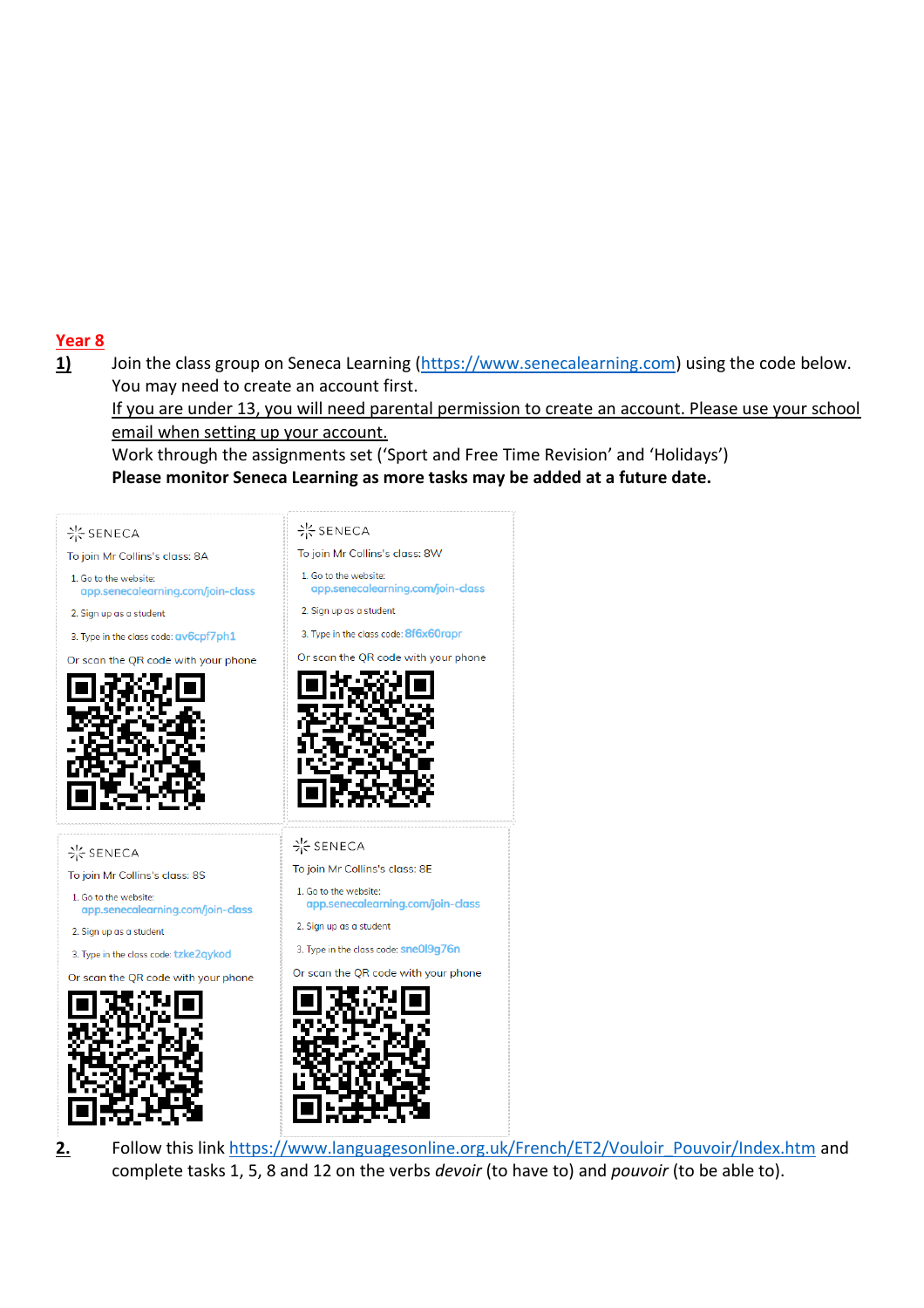# **Year 8**

1) Join the class group on Seneca Learning [\(https://www.senecalearning.com\)](https://www.senecalearning.com/) using the code below. You may need to create an account first.

If you are under 13, you will need parental permission to create an account. Please use your school email when setting up your account.

Work through the assignments set ('Sport and Free Time Revision' and 'Holidays') **Please monitor Seneca Learning as more tasks may be added at a future date.**





2. Follow this link [https://www.languagesonline.org.uk/French/ET2/Vouloir\\_Pouvoir/Index.htm](https://www.languagesonline.org.uk/French/ET2/Vouloir_Pouvoir/Index.htm) and complete tasks 1, 5, 8 and 12 on the verbs *devoir* (to have to) and *pouvoir* (to be able to).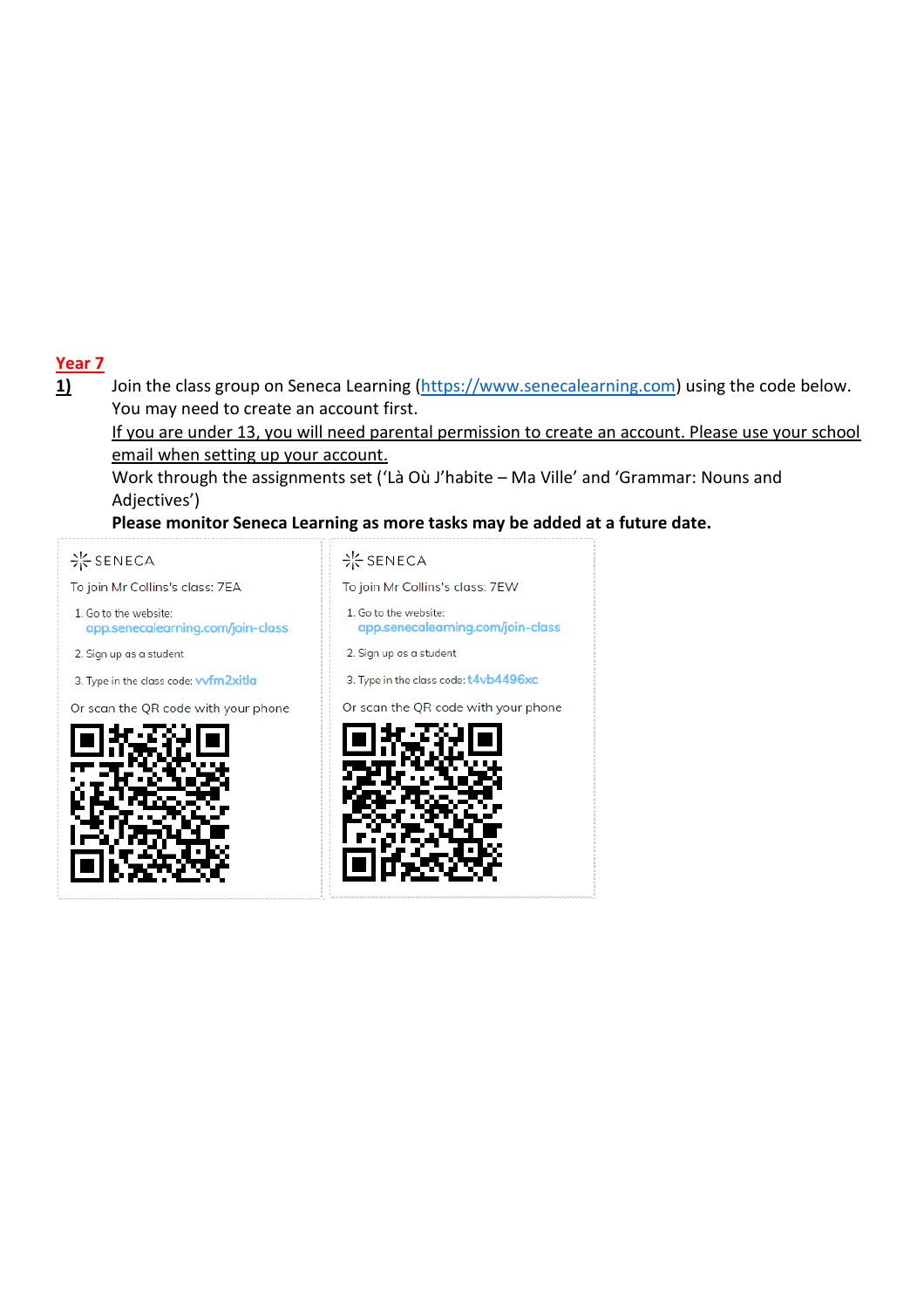# **Year 7**

1) Join the class group on Seneca Learning [\(https://www.senecalearning.com\)](https://www.senecalearning.com/) using the code below. You may need to create an account first.

If you are under 13, you will need parental permission to create an account. Please use your school email when setting up your account.

Work through the assignments set ('Là Où J'habite – Ma Ville' and 'Grammar: Nouns and Adjectives')

**Please monitor Seneca Learning as more tasks may be added at a future date.**

## · SENECA

To join Mr Collins's class: 7EA

- 1. Go to the website: app.senecalearning.com/join-class
- 2. Sign up as a student

3. Type in the class code: wfm2xitla

Or scan the QR code with your phone